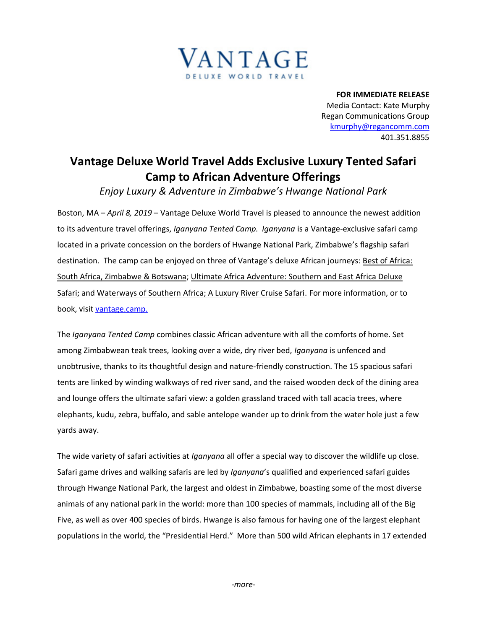

**FOR IMMEDIATE RELEASE** Media Contact: Kate Murphy Regan Communications Group [kmurphy@regancomm.com](mailto:kmurphy@regancomm.com) 401.351.8855

## **Vantage Deluxe World Travel Adds Exclusive Luxury Tented Safari Camp to African Adventure Offerings**

*Enjoy Luxury & Adventure in Zimbabwe's Hwange National Park*

Boston, MA – *April 8, 2019* – Vantage Deluxe World Travel is pleased to announce the newest addition to its adventure travel offerings, *Iganyana Tented Camp. Iganyana* is a Vantage-exclusive safari camp located in a private concession on the borders of Hwange National Park, Zimbabwe's flagship safari destination. The camp can be enjoyed on three of Vantage's deluxe African journeys: Best of Africa: [South Africa, Zimbabwe & Botswana;](https://www.vantagetravel.com/ourjourneys/land-tours/africa-land-tours/safxx/2019/itinerary) [Ultimate Africa Adventure: Southern and East Africa Deluxe](https://www.vantagetravel.com/ourjourneys/land-tours/africa-land-tours/afrxx/2019/itinerary)  [Safari;](https://www.vantagetravel.com/ourjourneys/land-tours/africa-land-tours/afrxx/2019/itinerary) and [Waterways of Southern Africa; A Luxury River Cruise Safari.](https://www.vantagetravel.com/ourjourneys/land-tours/africa-land-tours/sazxx/2019/itinerary) For more information, or to book, visit [vantage.camp.](https://www.vantagetravel.com/regional/africa?EmbedCode=287928784&mp=PRIC&utm_medium=newswire&utm_source=PR&utm_campaign=ReganPR&source=PRRC23&promo=PR20190)

The *Iganyana Tented Camp* combines classic African adventure with all the comforts of home. Set among Zimbabwean teak trees, looking over a wide, dry river bed, *Iganyana* is unfenced and unobtrusive, thanks to its thoughtful design and nature-friendly construction. The 15 spacious safari tents are linked by winding walkways of red river sand, and the raised wooden deck of the dining area and lounge offers the ultimate safari view: a golden grassland traced with tall acacia trees, where elephants, kudu, zebra, buffalo, and sable antelope wander up to drink from the water hole just a few yards away.

The wide variety of safari activities at *Iganyana* all offer a special way to discover the wildlife up close. Safari game drives and walking safaris are led by *Iganyana*'s qualified and experienced safari guides through Hwange National Park, the largest and oldest in Zimbabwe, boasting some of the most diverse animals of any national park in the world: more than 100 species of mammals, including all of the Big Five, as well as over 400 species of birds. Hwange is also famous for having one of the largest elephant populations in the world, the "Presidential Herd." More than 500 wild African elephants in 17 extended